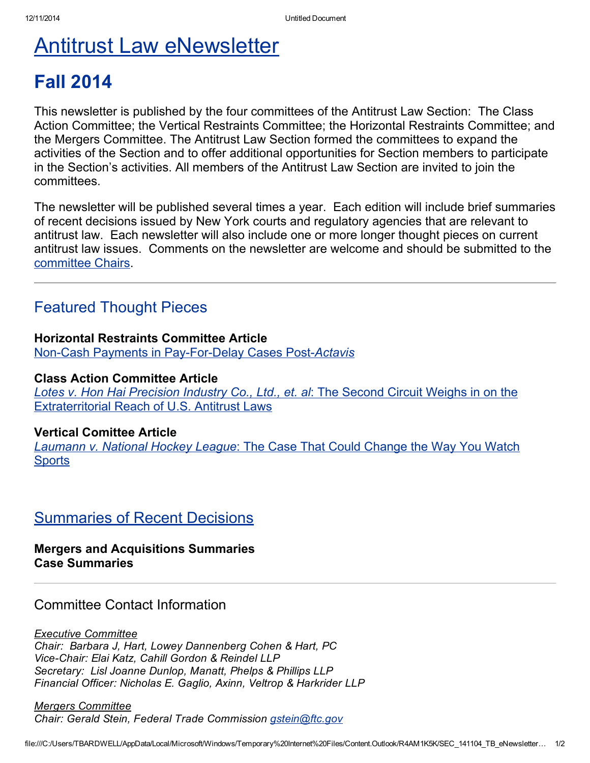# Antitrust Law [eNewsletter](http://www.nysba.org/Sections/Antitrust_Law/Antitrust_Law_Section.html)

# Fall 2014

This newsletter is published by the four committees of the Antitrust Law Section: The Class Action Committee; the Vertical Restraints Committee; the Horizontal Restraints Committee; and the Mergers Committee. The Antitrust Law Section formed the committees to expand the activities of the Section and to offer additional opportunities for Section members to participate in the Section's activities. All members of the Antitrust Law Section are invited to join the committees.

The newsletter will be published several times a year. Each edition will include brief summaries of recent decisions issued by New York courts and regulatory agencies that are relevant to antitrust law. Each newsletter will also include one or more longer thought pieces on current antitrust law issues. Comments on the newsletter are welcome and should be submitted to the committee Chairs.

# Featured Thought Pieces

## Horizontal Restraints Committee Article

**Non-Cash Payments in Pay-For-Delay Cases Post-Actavis** 

### Class Action Committee Article

*Lotes v. Hon Hai [Precision](http://www.nysba.org/lotes) Industry Co., Ltd., et. al*: The Second Circuit Weighs in on the [Extraterritorial](http://www.nysba.org/lotes) Reach of U.S. Antitrust Laws

## Vertical Comittee Article

*[Laumann](http://www.nysba.org/laumann) v. National Hockey League*: The Case That Could Change the Way You Watch **Sports** 

# [Summaries](http://www.nysba.org/antitrustcasesummaries) of Recent Decisions

## Mergers and Acquisitions Summaries Case Summaries

## Committee Contact Information

*Executive Committee Chair: Barbara J, Hart, Lowey Dannenberg Cohen & Hart, PC ViceChair: Elai Katz, Cahill Gordon & Reindel LLP Secretary: Lisl Joanne Dunlop, Manatt, Phelps & Phillips LLP Financial Officer: Nicholas E. Gaglio, Axinn, Veltrop & Harkrider LLP*

*Mergers Committee Chair: Gerald Stein, Federal Trade Commission [gstein@ftc.gov](mailto:gstein@ftc.gov)*